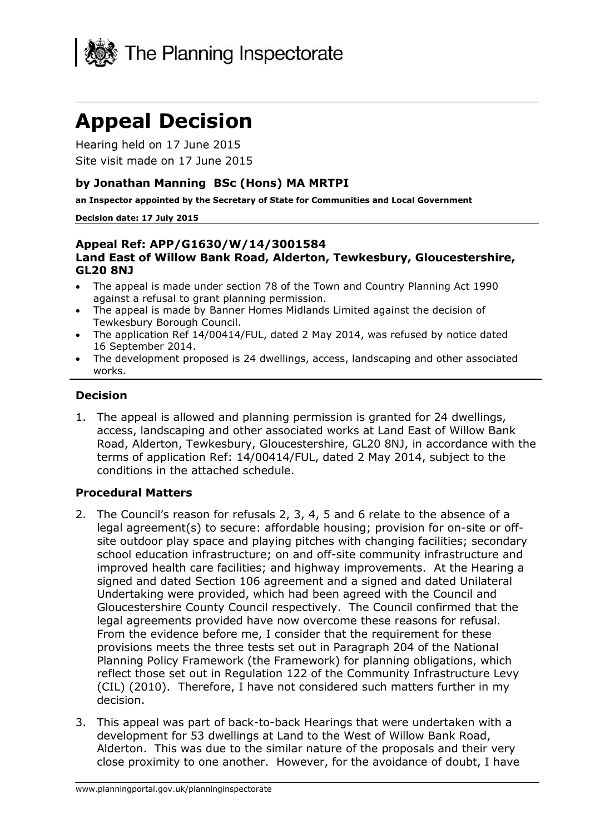

# **Appeal Decision**

Hearing held on 17 June 2015 Site visit made on 17 June 2015

#### **by Jonathan Manning BSc (Hons) MA MRTPI**

**an Inspector appointed by the Secretary of State for Communities and Local Government**

#### **Decision date: 17 July 2015**

#### **Appeal Ref: APP/G1630/W/14/3001584 Land East of Willow Bank Road, Alderton, Tewkesbury, Gloucestershire, GL20 8NJ**

- The appeal is made under section 78 of the Town and Country Planning Act 1990 against a refusal to grant planning permission.
- The appeal is made by Banner Homes Midlands Limited against the decision of Tewkesbury Borough Council.
- The application Ref 14/00414/FUL, dated 2 May 2014, was refused by notice dated 16 September 2014.
- The development proposed is 24 dwellings, access, landscaping and other associated works.

#### **Decision**

1. The appeal is allowed and planning permission is granted for 24 dwellings, access, landscaping and other associated works at Land East of Willow Bank Road, Alderton, Tewkesbury, Gloucestershire, GL20 8NJ, in accordance with the terms of application Ref: 14/00414/FUL, dated 2 May 2014, subject to the conditions in the attached schedule.

## **Procedural Matters**

- 2. The Council's reason for refusals 2, 3, 4, 5 and 6 relate to the absence of a legal agreement(s) to secure: affordable housing; provision for on-site or offsite outdoor play space and playing pitches with changing facilities; secondary school education infrastructure; on and off-site community infrastructure and improved health care facilities; and highway improvements. At the Hearing a signed and dated Section 106 agreement and a signed and dated Unilateral Undertaking were provided, which had been agreed with the Council and Gloucestershire County Council respectively. The Council confirmed that the legal agreements provided have now overcome these reasons for refusal. From the evidence before me, I consider that the requirement for these provisions meets the three tests set out in Paragraph 204 of the National Planning Policy Framework (the Framework) for planning obligations, which reflect those set out in Regulation 122 of the Community Infrastructure Levy (CIL) (2010). Therefore, I have not considered such matters further in my decision.
- 3. This appeal was part of back-to-back Hearings that were undertaken with a development for 53 dwellings at Land to the West of Willow Bank Road, Alderton. This was due to the similar nature of the proposals and their very close proximity to one another. However, for the avoidance of doubt, I have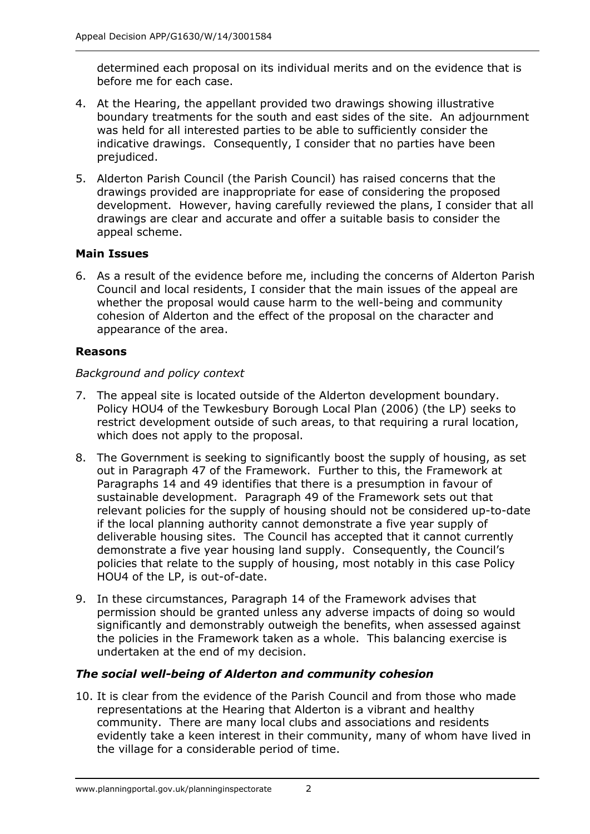determined each proposal on its individual merits and on the evidence that is before me for each case.

- 4. At the Hearing, the appellant provided two drawings showing illustrative boundary treatments for the south and east sides of the site. An adjournment was held for all interested parties to be able to sufficiently consider the indicative drawings. Consequently, I consider that no parties have been prejudiced.
- 5. Alderton Parish Council (the Parish Council) has raised concerns that the drawings provided are inappropriate for ease of considering the proposed development. However, having carefully reviewed the plans, I consider that all drawings are clear and accurate and offer a suitable basis to consider the appeal scheme.

## **Main Issues**

6. As a result of the evidence before me, including the concerns of Alderton Parish Council and local residents, I consider that the main issues of the appeal are whether the proposal would cause harm to the well-being and community cohesion of Alderton and the effect of the proposal on the character and appearance of the area.

## **Reasons**

## *Background and policy context*

- 7. The appeal site is located outside of the Alderton development boundary. Policy HOU4 of the Tewkesbury Borough Local Plan (2006) (the LP) seeks to restrict development outside of such areas, to that requiring a rural location, which does not apply to the proposal.
- 8. The Government is seeking to significantly boost the supply of housing, as set out in Paragraph 47 of the Framework. Further to this, the Framework at Paragraphs 14 and 49 identifies that there is a presumption in favour of sustainable development. Paragraph 49 of the Framework sets out that relevant policies for the supply of housing should not be considered up-to-date if the local planning authority cannot demonstrate a five year supply of deliverable housing sites. The Council has accepted that it cannot currently demonstrate a five year housing land supply. Consequently, the Council's policies that relate to the supply of housing, most notably in this case Policy HOU4 of the LP, is out-of-date.
- 9. In these circumstances, Paragraph 14 of the Framework advises that permission should be granted unless any adverse impacts of doing so would significantly and demonstrably outweigh the benefits, when assessed against the policies in the Framework taken as a whole. This balancing exercise is undertaken at the end of my decision.

## *The social well-being of Alderton and community cohesion*

10. It is clear from the evidence of the Parish Council and from those who made representations at the Hearing that Alderton is a vibrant and healthy community. There are many local clubs and associations and residents evidently take a keen interest in their community, many of whom have lived in the village for a considerable period of time.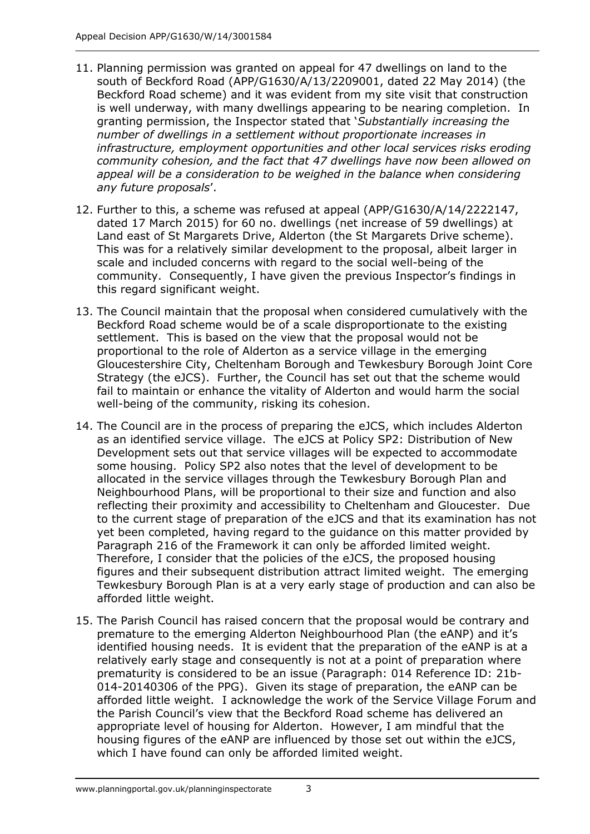- 11. Planning permission was granted on appeal for 47 dwellings on land to the south of Beckford Road (APP/G1630/A/13/2209001, dated 22 May 2014) (the Beckford Road scheme) and it was evident from my site visit that construction is well underway, with many dwellings appearing to be nearing completion. In granting permission, the Inspector stated that '*Substantially increasing the number of dwellings in a settlement without proportionate increases in infrastructure, employment opportunities and other local services risks eroding community cohesion, and the fact that 47 dwellings have now been allowed on*  appeal will be a consideration to be weighed in the balance when considering *any future proposals*'.
- 12. Further to this, a scheme was refused at appeal (APP/G1630/A/14/2222147, dated 17 March 2015) for 60 no. dwellings (net increase of 59 dwellings) at Land east of St Margarets Drive, Alderton (the St Margarets Drive scheme). This was for a relatively similar development to the proposal, albeit larger in scale and included concerns with regard to the social well-being of the community. Consequently, I have given the previous Inspector's findings in this regard significant weight.
- 13. The Council maintain that the proposal when considered cumulatively with the Beckford Road scheme would be of a scale disproportionate to the existing settlement. This is based on the view that the proposal would not be proportional to the role of Alderton as a service village in the emerging Gloucestershire City, Cheltenham Borough and Tewkesbury Borough Joint Core Strategy (the eJCS). Further, the Council has set out that the scheme would fail to maintain or enhance the vitality of Alderton and would harm the social well-being of the community, risking its cohesion.
- 14. The Council are in the process of preparing the eJCS, which includes Alderton as an identified service village. The eJCS at Policy SP2: Distribution of New Development sets out that service villages will be expected to accommodate some housing. Policy SP2 also notes that the level of development to be allocated in the service villages through the Tewkesbury Borough Plan and Neighbourhood Plans, will be proportional to their size and function and also reflecting their proximity and accessibility to Cheltenham and Gloucester. Due to the current stage of preparation of the eJCS and that its examination has not yet been completed, having regard to the guidance on this matter provided by Paragraph 216 of the Framework it can only be afforded limited weight. Therefore, I consider that the policies of the eJCS, the proposed housing figures and their subsequent distribution attract limited weight. The emerging Tewkesbury Borough Plan is at a very early stage of production and can also be afforded little weight.
- 15. The Parish Council has raised concern that the proposal would be contrary and premature to the emerging Alderton Neighbourhood Plan (the eANP) and it's identified housing needs. It is evident that the preparation of the eANP is at a relatively early stage and consequently is not at a point of preparation where prematurity is considered to be an issue (Paragraph: 014 Reference ID: 21b-014-20140306 of the PPG). Given its stage of preparation, the eANP can be afforded little weight. I acknowledge the work of the Service Village Forum and the Parish Council's view that the Beckford Road scheme has delivered an appropriate level of housing for Alderton. However, I am mindful that the housing figures of the eANP are influenced by those set out within the eJCS, which I have found can only be afforded limited weight.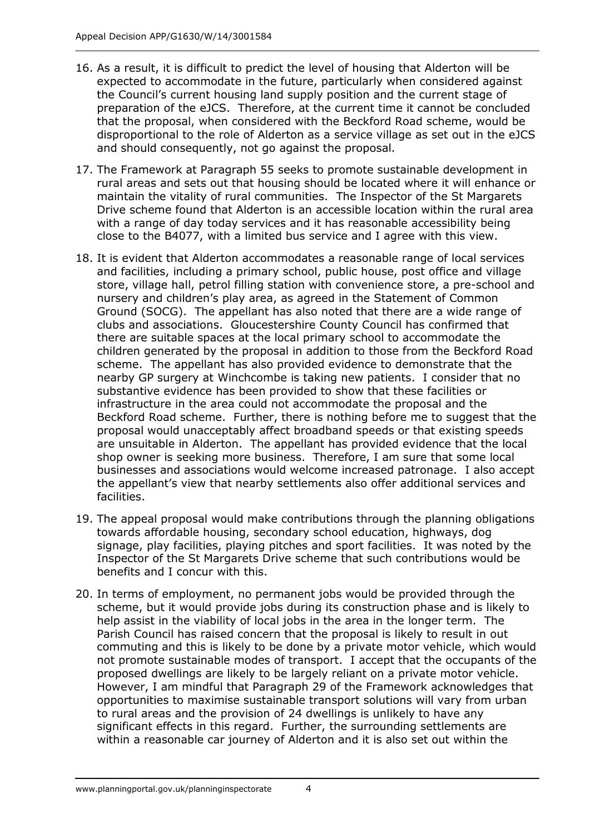- 16. As a result, it is difficult to predict the level of housing that Alderton will be expected to accommodate in the future, particularly when considered against the Council's current housing land supply position and the current stage of preparation of the eJCS. Therefore, at the current time it cannot be concluded that the proposal, when considered with the Beckford Road scheme, would be disproportional to the role of Alderton as a service village as set out in the eJCS and should consequently, not go against the proposal.
- 17. The Framework at Paragraph 55 seeks to promote sustainable development in rural areas and sets out that housing should be located where it will enhance or maintain the vitality of rural communities. The Inspector of the St Margarets Drive scheme found that Alderton is an accessible location within the rural area with a range of day today services and it has reasonable accessibility being close to the B4077, with a limited bus service and I agree with this view.
- 18. It is evident that Alderton accommodates a reasonable range of local services and facilities, including a primary school, public house, post office and village store, village hall, petrol filling station with convenience store, a pre-school and nursery and children's play area, as agreed in the Statement of Common Ground (SOCG). The appellant has also noted that there are a wide range of clubs and associations. Gloucestershire County Council has confirmed that there are suitable spaces at the local primary school to accommodate the children generated by the proposal in addition to those from the Beckford Road scheme. The appellant has also provided evidence to demonstrate that the nearby GP surgery at Winchcombe is taking new patients. I consider that no substantive evidence has been provided to show that these facilities or infrastructure in the area could not accommodate the proposal and the Beckford Road scheme. Further, there is nothing before me to suggest that the proposal would unacceptably affect broadband speeds or that existing speeds are unsuitable in Alderton. The appellant has provided evidence that the local shop owner is seeking more business. Therefore, I am sure that some local businesses and associations would welcome increased patronage. I also accept the appellant's view that nearby settlements also offer additional services and facilities.
- 19. The appeal proposal would make contributions through the planning obligations towards affordable housing, secondary school education, highways, dog signage, play facilities, playing pitches and sport facilities. It was noted by the Inspector of the St Margarets Drive scheme that such contributions would be benefits and I concur with this.
- 20. In terms of employment, no permanent jobs would be provided through the scheme, but it would provide jobs during its construction phase and is likely to help assist in the viability of local jobs in the area in the longer term. The Parish Council has raised concern that the proposal is likely to result in out commuting and this is likely to be done by a private motor vehicle, which would not promote sustainable modes of transport. I accept that the occupants of the proposed dwellings are likely to be largely reliant on a private motor vehicle. However, I am mindful that Paragraph 29 of the Framework acknowledges that opportunities to maximise sustainable transport solutions will vary from urban to rural areas and the provision of 24 dwellings is unlikely to have any significant effects in this regard. Further, the surrounding settlements are within a reasonable car journey of Alderton and it is also set out within the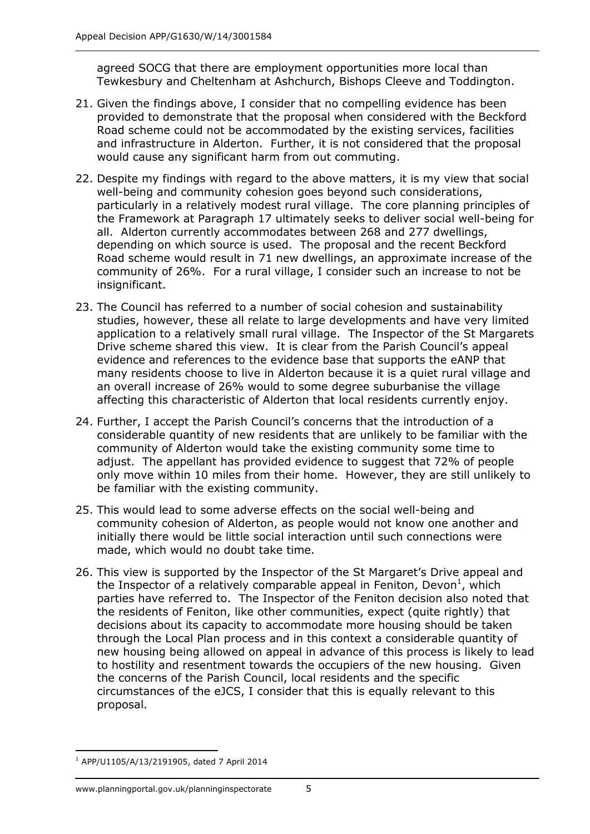agreed SOCG that there are employment opportunities more local than Tewkesbury and Cheltenham at Ashchurch, Bishops Cleeve and Toddington.

- 21. Given the findings above, I consider that no compelling evidence has been provided to demonstrate that the proposal when considered with the Beckford Road scheme could not be accommodated by the existing services, facilities and infrastructure in Alderton. Further, it is not considered that the proposal would cause any significant harm from out commuting.
- 22. Despite my findings with regard to the above matters, it is my view that social well-being and community cohesion goes beyond such considerations, particularly in a relatively modest rural village. The core planning principles of the Framework at Paragraph 17 ultimately seeks to deliver social well-being for all. Alderton currently accommodates between 268 and 277 dwellings, depending on which source is used. The proposal and the recent Beckford Road scheme would result in 71 new dwellings, an approximate increase of the community of 26%. For a rural village, I consider such an increase to not be insignificant.
- 23. The Council has referred to a number of social cohesion and sustainability studies, however, these all relate to large developments and have very limited application to a relatively small rural village. The Inspector of the St Margarets Drive scheme shared this view. It is clear from the Parish Council's appeal evidence and references to the evidence base that supports the eANP that many residents choose to live in Alderton because it is a quiet rural village and an overall increase of 26% would to some degree suburbanise the village affecting this characteristic of Alderton that local residents currently enjoy.
- 24. Further, I accept the Parish Council's concerns that the introduction of a considerable quantity of new residents that are unlikely to be familiar with the community of Alderton would take the existing community some time to adjust. The appellant has provided evidence to suggest that 72% of people only move within 10 miles from their home. However, they are still unlikely to be familiar with the existing community.
- 25. This would lead to some adverse effects on the social well-being and community cohesion of Alderton, as people would not know one another and initially there would be little social interaction until such connections were made, which would no doubt take time.
- 26. This view is supported by the Inspector of the St Margaret's Drive appeal and the Inspector of a relatively comparable appeal in Feniton, Devon<sup>1</sup>, which parties have referred to. The Inspector of the Feniton decision also noted that the residents of Feniton, like other communities, expect (quite rightly) that decisions about its capacity to accommodate more housing should be taken through the Local Plan process and in this context a considerable quantity of new housing being allowed on appeal in advance of this process is likely to lead to hostility and resentment towards the occupiers of the new housing. Given the concerns of the Parish Council, local residents and the specific circumstances of the eJCS, I consider that this is equally relevant to this proposal.

<sup>-</sup><sup>1</sup> APP/U1105/A/13/2191905, dated 7 April 2014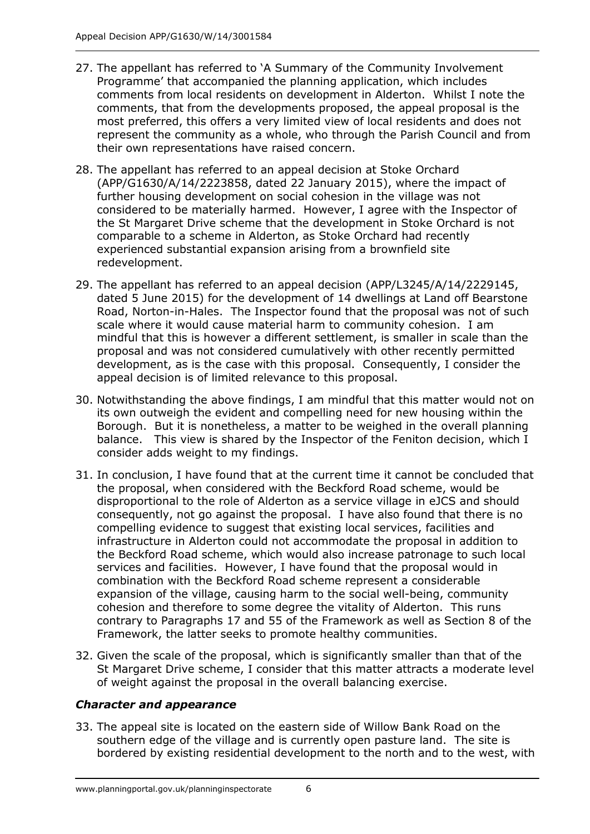- 27. The appellant has referred to 'A Summary of the Community Involvement Programme' that accompanied the planning application, which includes comments from local residents on development in Alderton. Whilst I note the comments, that from the developments proposed, the appeal proposal is the most preferred, this offers a very limited view of local residents and does not represent the community as a whole, who through the Parish Council and from their own representations have raised concern.
- 28. The appellant has referred to an appeal decision at Stoke Orchard (APP/G1630/A/14/2223858, dated 22 January 2015), where the impact of further housing development on social cohesion in the village was not considered to be materially harmed. However, I agree with the Inspector of the St Margaret Drive scheme that the development in Stoke Orchard is not comparable to a scheme in Alderton, as Stoke Orchard had recently experienced substantial expansion arising from a brownfield site redevelopment.
- 29. The appellant has referred to an appeal decision (APP/L3245/A/14/2229145, dated 5 June 2015) for the development of 14 dwellings at Land off Bearstone Road, Norton-in-Hales. The Inspector found that the proposal was not of such scale where it would cause material harm to community cohesion. I am mindful that this is however a different settlement, is smaller in scale than the proposal and was not considered cumulatively with other recently permitted development, as is the case with this proposal. Consequently, I consider the appeal decision is of limited relevance to this proposal.
- 30. Notwithstanding the above findings, I am mindful that this matter would not on its own outweigh the evident and compelling need for new housing within the Borough. But it is nonetheless, a matter to be weighed in the overall planning balance. This view is shared by the Inspector of the Feniton decision, which I consider adds weight to my findings.
- 31. In conclusion, I have found that at the current time it cannot be concluded that the proposal, when considered with the Beckford Road scheme, would be disproportional to the role of Alderton as a service village in eJCS and should consequently, not go against the proposal. I have also found that there is no compelling evidence to suggest that existing local services, facilities and infrastructure in Alderton could not accommodate the proposal in addition to the Beckford Road scheme, which would also increase patronage to such local services and facilities. However, I have found that the proposal would in combination with the Beckford Road scheme represent a considerable expansion of the village, causing harm to the social well-being, community cohesion and therefore to some degree the vitality of Alderton. This runs contrary to Paragraphs 17 and 55 of the Framework as well as Section 8 of the Framework, the latter seeks to promote healthy communities.
- 32. Given the scale of the proposal, which is significantly smaller than that of the St Margaret Drive scheme, I consider that this matter attracts a moderate level of weight against the proposal in the overall balancing exercise.

## *Character and appearance*

33. The appeal site is located on the eastern side of Willow Bank Road on the southern edge of the village and is currently open pasture land. The site is bordered by existing residential development to the north and to the west, with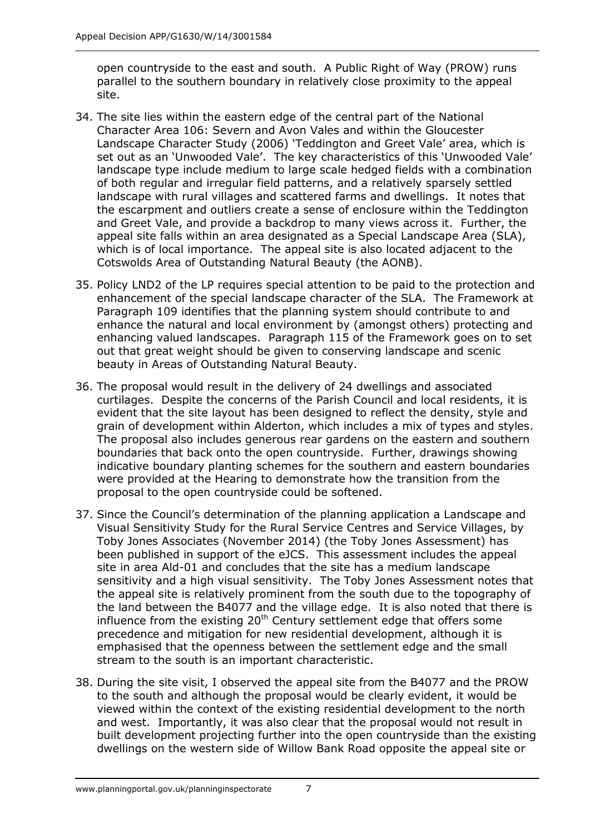open countryside to the east and south. A Public Right of Way (PROW) runs parallel to the southern boundary in relatively close proximity to the appeal site.

- 34. The site lies within the eastern edge of the central part of the National Character Area 106: Severn and Avon Vales and within the Gloucester Landscape Character Study (2006) 'Teddington and Greet Vale' area, which is set out as an 'Unwooded Vale'. The key characteristics of this 'Unwooded Vale' landscape type include medium to large scale hedged fields with a combination of both regular and irregular field patterns, and a relatively sparsely settled landscape with rural villages and scattered farms and dwellings. It notes that the escarpment and outliers create a sense of enclosure within the Teddington and Greet Vale, and provide a backdrop to many views across it. Further, the appeal site falls within an area designated as a Special Landscape Area (SLA), which is of local importance. The appeal site is also located adjacent to the Cotswolds Area of Outstanding Natural Beauty (the AONB).
- 35. Policy LND2 of the LP requires special attention to be paid to the protection and enhancement of the special landscape character of the SLA. The Framework at Paragraph 109 identifies that the planning system should contribute to and enhance the natural and local environment by (amongst others) protecting and enhancing valued landscapes. Paragraph 115 of the Framework goes on to set out that great weight should be given to conserving landscape and scenic beauty in Areas of Outstanding Natural Beauty.
- 36. The proposal would result in the delivery of 24 dwellings and associated curtilages. Despite the concerns of the Parish Council and local residents, it is evident that the site layout has been designed to reflect the density, style and grain of development within Alderton, which includes a mix of types and styles. The proposal also includes generous rear gardens on the eastern and southern boundaries that back onto the open countryside. Further, drawings showing indicative boundary planting schemes for the southern and eastern boundaries were provided at the Hearing to demonstrate how the transition from the proposal to the open countryside could be softened.
- 37. Since the Council's determination of the planning application a Landscape and Visual Sensitivity Study for the Rural Service Centres and Service Villages, by Toby Jones Associates (November 2014) (the Toby Jones Assessment) has been published in support of the eJCS. This assessment includes the appeal site in area Ald-01 and concludes that the site has a medium landscape sensitivity and a high visual sensitivity. The Toby Jones Assessment notes that the appeal site is relatively prominent from the south due to the topography of the land between the B4077 and the village edge. It is also noted that there is influence from the existing  $20<sup>th</sup>$  Century settlement edge that offers some precedence and mitigation for new residential development, although it is emphasised that the openness between the settlement edge and the small stream to the south is an important characteristic.
- 38. During the site visit, I observed the appeal site from the B4077 and the PROW to the south and although the proposal would be clearly evident, it would be viewed within the context of the existing residential development to the north and west. Importantly, it was also clear that the proposal would not result in built development projecting further into the open countryside than the existing dwellings on the western side of Willow Bank Road opposite the appeal site or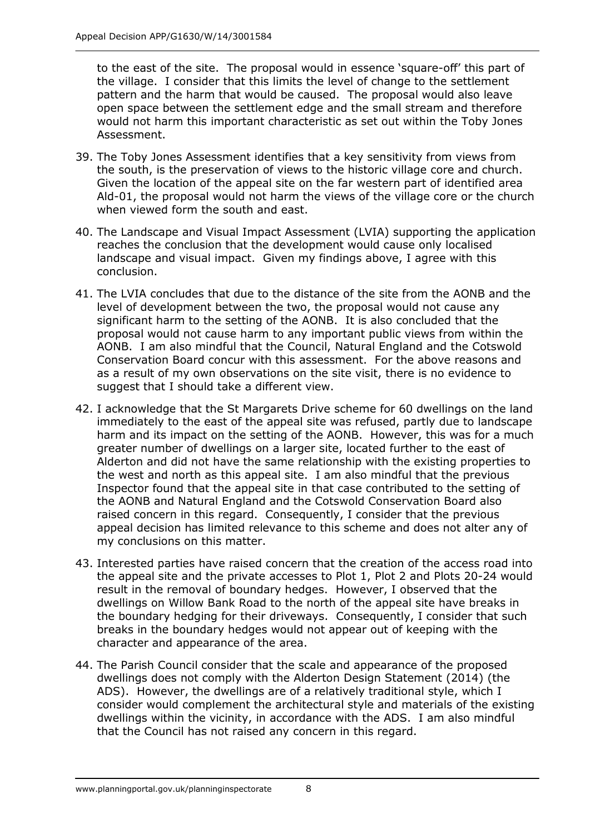to the east of the site. The proposal would in essence 'square-off' this part of the village. I consider that this limits the level of change to the settlement pattern and the harm that would be caused. The proposal would also leave open space between the settlement edge and the small stream and therefore would not harm this important characteristic as set out within the Toby Jones Assessment.

- 39. The Toby Jones Assessment identifies that a key sensitivity from views from the south, is the preservation of views to the historic village core and church. Given the location of the appeal site on the far western part of identified area Ald-01, the proposal would not harm the views of the village core or the church when viewed form the south and east.
- 40. The Landscape and Visual Impact Assessment (LVIA) supporting the application reaches the conclusion that the development would cause only localised landscape and visual impact. Given my findings above, I agree with this conclusion.
- 41. The LVIA concludes that due to the distance of the site from the AONB and the level of development between the two, the proposal would not cause any significant harm to the setting of the AONB. It is also concluded that the proposal would not cause harm to any important public views from within the AONB. I am also mindful that the Council, Natural England and the Cotswold Conservation Board concur with this assessment. For the above reasons and as a result of my own observations on the site visit, there is no evidence to suggest that I should take a different view.
- 42. I acknowledge that the St Margarets Drive scheme for 60 dwellings on the land immediately to the east of the appeal site was refused, partly due to landscape harm and its impact on the setting of the AONB. However, this was for a much greater number of dwellings on a larger site, located further to the east of Alderton and did not have the same relationship with the existing properties to the west and north as this appeal site. I am also mindful that the previous Inspector found that the appeal site in that case contributed to the setting of the AONB and Natural England and the Cotswold Conservation Board also raised concern in this regard. Consequently, I consider that the previous appeal decision has limited relevance to this scheme and does not alter any of my conclusions on this matter.
- 43. Interested parties have raised concern that the creation of the access road into the appeal site and the private accesses to Plot 1, Plot 2 and Plots 20-24 would result in the removal of boundary hedges. However, I observed that the dwellings on Willow Bank Road to the north of the appeal site have breaks in the boundary hedging for their driveways. Consequently, I consider that such breaks in the boundary hedges would not appear out of keeping with the character and appearance of the area.
- 44. The Parish Council consider that the scale and appearance of the proposed dwellings does not comply with the Alderton Design Statement (2014) (the ADS). However, the dwellings are of a relatively traditional style, which I consider would complement the architectural style and materials of the existing dwellings within the vicinity, in accordance with the ADS. I am also mindful that the Council has not raised any concern in this regard.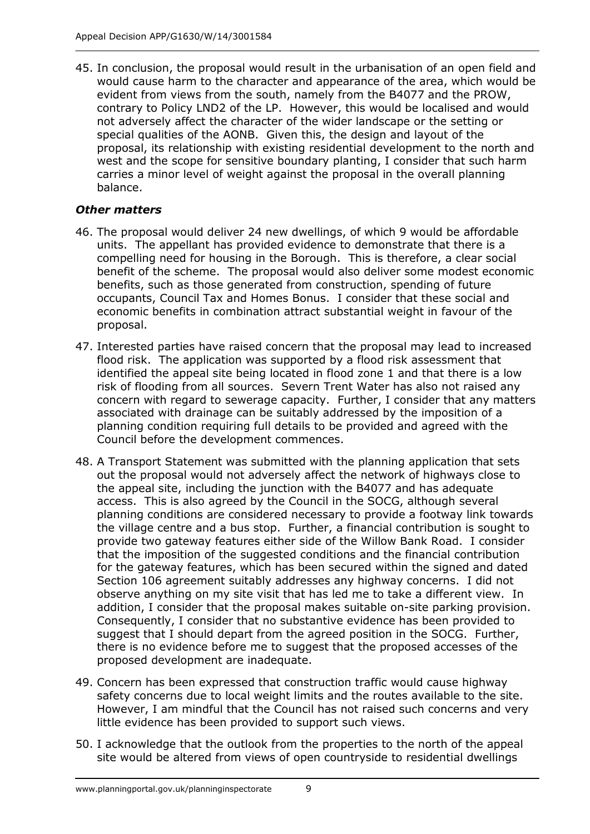45. In conclusion, the proposal would result in the urbanisation of an open field and would cause harm to the character and appearance of the area, which would be evident from views from the south, namely from the B4077 and the PROW, contrary to Policy LND2 of the LP. However, this would be localised and would not adversely affect the character of the wider landscape or the setting or special qualities of the AONB. Given this, the design and layout of the proposal, its relationship with existing residential development to the north and west and the scope for sensitive boundary planting, I consider that such harm carries a minor level of weight against the proposal in the overall planning balance.

## *Other matters*

- 46. The proposal would deliver 24 new dwellings, of which 9 would be affordable units. The appellant has provided evidence to demonstrate that there is a compelling need for housing in the Borough. This is therefore, a clear social benefit of the scheme. The proposal would also deliver some modest economic benefits, such as those generated from construction, spending of future occupants, Council Tax and Homes Bonus. I consider that these social and economic benefits in combination attract substantial weight in favour of the proposal.
- 47. Interested parties have raised concern that the proposal may lead to increased flood risk. The application was supported by a flood risk assessment that identified the appeal site being located in flood zone 1 and that there is a low risk of flooding from all sources. Severn Trent Water has also not raised any concern with regard to sewerage capacity. Further, I consider that any matters associated with drainage can be suitably addressed by the imposition of a planning condition requiring full details to be provided and agreed with the Council before the development commences.
- 48. A Transport Statement was submitted with the planning application that sets out the proposal would not adversely affect the network of highways close to the appeal site, including the junction with the B4077 and has adequate access. This is also agreed by the Council in the SOCG, although several planning conditions are considered necessary to provide a footway link towards the village centre and a bus stop. Further, a financial contribution is sought to provide two gateway features either side of the Willow Bank Road. I consider that the imposition of the suggested conditions and the financial contribution for the gateway features, which has been secured within the signed and dated Section 106 agreement suitably addresses any highway concerns. I did not observe anything on my site visit that has led me to take a different view. In addition, I consider that the proposal makes suitable on-site parking provision. Consequently, I consider that no substantive evidence has been provided to suggest that I should depart from the agreed position in the SOCG. Further, there is no evidence before me to suggest that the proposed accesses of the proposed development are inadequate.
- 49. Concern has been expressed that construction traffic would cause highway safety concerns due to local weight limits and the routes available to the site. However, I am mindful that the Council has not raised such concerns and very little evidence has been provided to support such views.
- 50. I acknowledge that the outlook from the properties to the north of the appeal site would be altered from views of open countryside to residential dwellings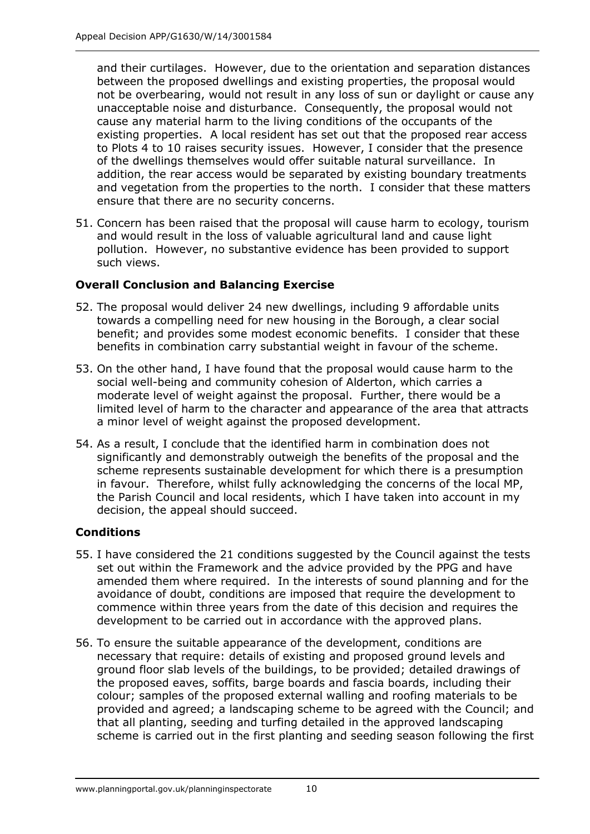and their curtilages. However, due to the orientation and separation distances between the proposed dwellings and existing properties, the proposal would not be overbearing, would not result in any loss of sun or daylight or cause any unacceptable noise and disturbance. Consequently, the proposal would not cause any material harm to the living conditions of the occupants of the existing properties. A local resident has set out that the proposed rear access to Plots 4 to 10 raises security issues. However, I consider that the presence of the dwellings themselves would offer suitable natural surveillance. In addition, the rear access would be separated by existing boundary treatments and vegetation from the properties to the north. I consider that these matters ensure that there are no security concerns.

51. Concern has been raised that the proposal will cause harm to ecology, tourism and would result in the loss of valuable agricultural land and cause light pollution. However, no substantive evidence has been provided to support such views.

## **Overall Conclusion and Balancing Exercise**

- 52. The proposal would deliver 24 new dwellings, including 9 affordable units towards a compelling need for new housing in the Borough, a clear social benefit; and provides some modest economic benefits. I consider that these benefits in combination carry substantial weight in favour of the scheme.
- 53. On the other hand, I have found that the proposal would cause harm to the social well-being and community cohesion of Alderton, which carries a moderate level of weight against the proposal. Further, there would be a limited level of harm to the character and appearance of the area that attracts a minor level of weight against the proposed development.
- 54. As a result, I conclude that the identified harm in combination does not significantly and demonstrably outweigh the benefits of the proposal and the scheme represents sustainable development for which there is a presumption in favour. Therefore, whilst fully acknowledging the concerns of the local MP, the Parish Council and local residents, which I have taken into account in my decision, the appeal should succeed.

## **Conditions**

- 55. I have considered the 21 conditions suggested by the Council against the tests set out within the Framework and the advice provided by the PPG and have amended them where required. In the interests of sound planning and for the avoidance of doubt, conditions are imposed that require the development to commence within three years from the date of this decision and requires the development to be carried out in accordance with the approved plans.
- 56. To ensure the suitable appearance of the development, conditions are necessary that require: details of existing and proposed ground levels and ground floor slab levels of the buildings, to be provided; detailed drawings of the proposed eaves, soffits, barge boards and fascia boards, including their colour; samples of the proposed external walling and roofing materials to be provided and agreed; a landscaping scheme to be agreed with the Council; and that all planting, seeding and turfing detailed in the approved landscaping scheme is carried out in the first planting and seeding season following the first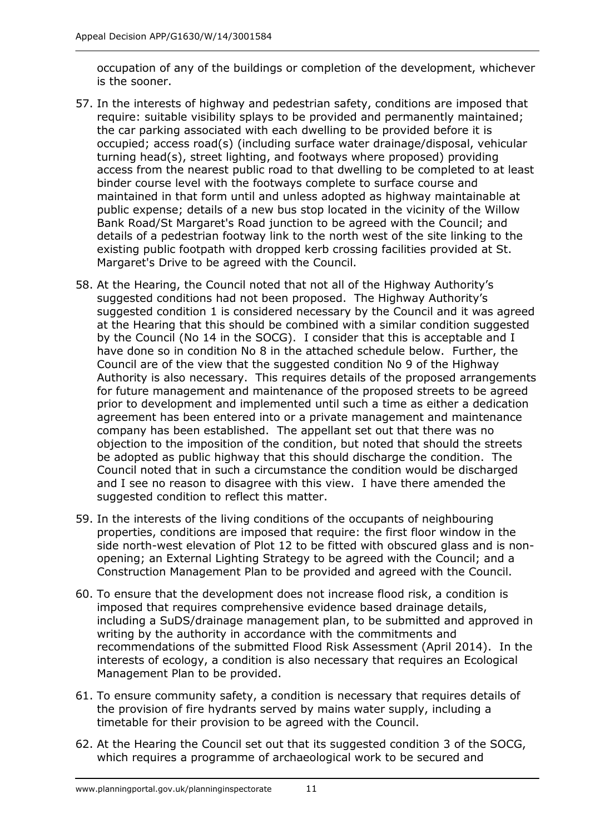occupation of any of the buildings or completion of the development, whichever is the sooner.

- 57. In the interests of highway and pedestrian safety, conditions are imposed that require: suitable visibility splays to be provided and permanently maintained; the car parking associated with each dwelling to be provided before it is occupied; access road(s) (including surface water drainage/disposal, vehicular turning head(s), street lighting, and footways where proposed) providing access from the nearest public road to that dwelling to be completed to at least binder course level with the footways complete to surface course and maintained in that form until and unless adopted as highway maintainable at public expense; details of a new bus stop located in the vicinity of the Willow Bank Road/St Margaret's Road junction to be agreed with the Council; and details of a pedestrian footway link to the north west of the site linking to the existing public footpath with dropped kerb crossing facilities provided at St. Margaret's Drive to be agreed with the Council.
- 58. At the Hearing, the Council noted that not all of the Highway Authority's suggested conditions had not been proposed. The Highway Authority's suggested condition 1 is considered necessary by the Council and it was agreed at the Hearing that this should be combined with a similar condition suggested by the Council (No 14 in the SOCG). I consider that this is acceptable and I have done so in condition No 8 in the attached schedule below. Further, the Council are of the view that the suggested condition No 9 of the Highway Authority is also necessary. This requires details of the proposed arrangements for future management and maintenance of the proposed streets to be agreed prior to development and implemented until such a time as either a dedication agreement has been entered into or a private management and maintenance company has been established. The appellant set out that there was no objection to the imposition of the condition, but noted that should the streets be adopted as public highway that this should discharge the condition. The Council noted that in such a circumstance the condition would be discharged and I see no reason to disagree with this view. I have there amended the suggested condition to reflect this matter.
- 59. In the interests of the living conditions of the occupants of neighbouring properties, conditions are imposed that require: the first floor window in the side north-west elevation of Plot 12 to be fitted with obscured glass and is nonopening; an External Lighting Strategy to be agreed with the Council; and a Construction Management Plan to be provided and agreed with the Council.
- 60. To ensure that the development does not increase flood risk, a condition is imposed that requires comprehensive evidence based drainage details, including a SuDS/drainage management plan, to be submitted and approved in writing by the authority in accordance with the commitments and recommendations of the submitted Flood Risk Assessment (April 2014). In the interests of ecology, a condition is also necessary that requires an Ecological Management Plan to be provided.
- 61. To ensure community safety, a condition is necessary that requires details of the provision of fire hydrants served by mains water supply, including a timetable for their provision to be agreed with the Council.
- 62. At the Hearing the Council set out that its suggested condition 3 of the SOCG, which requires a programme of archaeological work to be secured and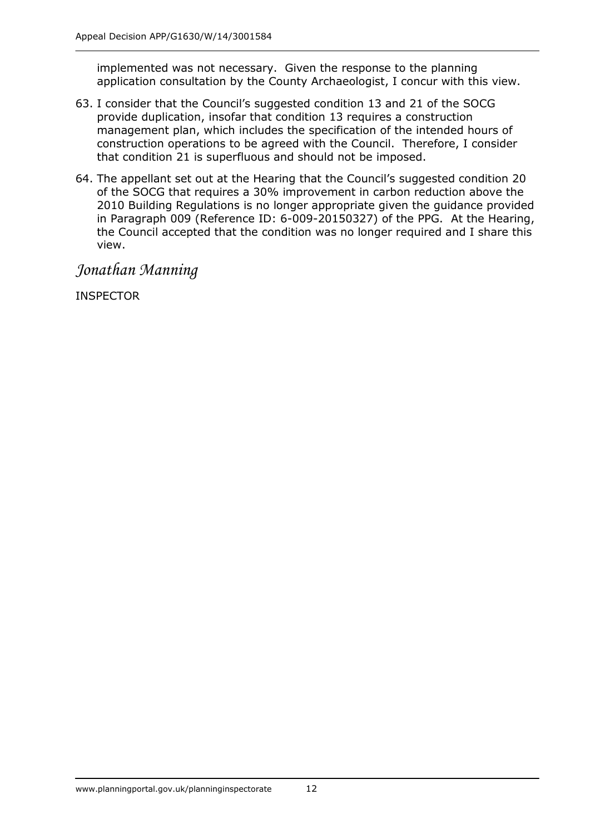implemented was not necessary. Given the response to the planning application consultation by the County Archaeologist, I concur with this view.

- 63. I consider that the Council's suggested condition 13 and 21 of the SOCG provide duplication, insofar that condition 13 requires a construction management plan, which includes the specification of the intended hours of construction operations to be agreed with the Council. Therefore, I consider that condition 21 is superfluous and should not be imposed.
- 64. The appellant set out at the Hearing that the Council's suggested condition 20 of the SOCG that requires a 30% improvement in carbon reduction above the 2010 Building Regulations is no longer appropriate given the guidance provided in Paragraph 009 (Reference ID: 6-009-20150327) of the PPG. At the Hearing, the Council accepted that the condition was no longer required and I share this view.

*Jonathan Manning*

INSPECTOR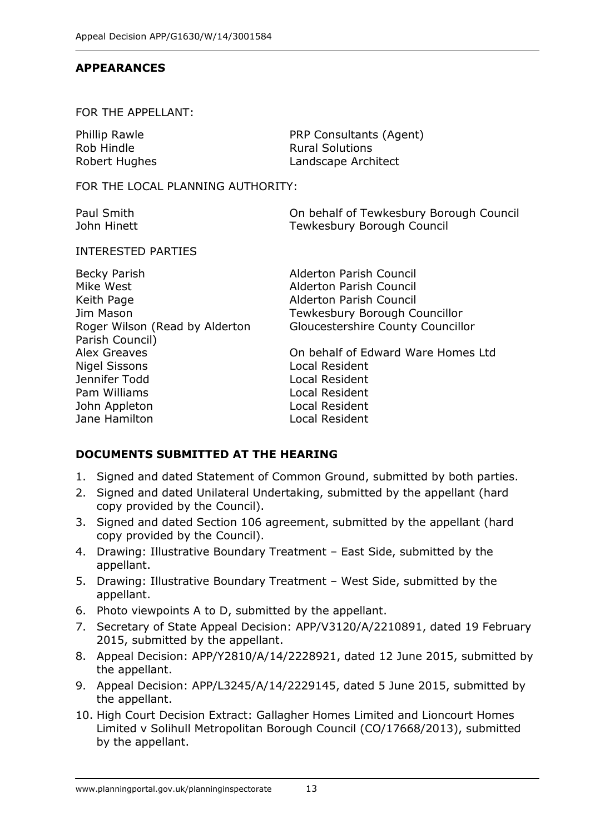#### **APPEARANCES**

#### FOR THE APPELLANT:

| Phillip Rawle | PRP Consultants (Agent) |
|---------------|-------------------------|
| Rob Hindle    | <b>Rural Solutions</b>  |
| Robert Hughes | Landscape Architect     |

FOR THE LOCAL PLANNING AUTHORITY:

| Paul Smith  | On behalf of Tewkesbury Borough Council |
|-------------|-----------------------------------------|
| John Hinett | Tewkesbury Borough Council              |

#### INTERESTED PARTIES

| <b>Alderton Parish Council</b>     |
|------------------------------------|
| Alderton Parish Council            |
| Alderton Parish Council            |
| Tewkesbury Borough Councillor      |
| Gloucestershire County Councillor  |
|                                    |
| On behalf of Edward Ware Homes Ltd |
| Local Resident                     |
| Local Resident                     |
| Local Resident                     |
| Local Resident                     |
| Local Resident                     |
|                                    |

## **DOCUMENTS SUBMITTED AT THE HEARING**

- 1. Signed and dated Statement of Common Ground, submitted by both parties.
- 2. Signed and dated Unilateral Undertaking, submitted by the appellant (hard copy provided by the Council).
- 3. Signed and dated Section 106 agreement, submitted by the appellant (hard copy provided by the Council).
- 4. Drawing: Illustrative Boundary Treatment East Side, submitted by the appellant.
- 5. Drawing: Illustrative Boundary Treatment West Side, submitted by the appellant.
- 6. Photo viewpoints A to D, submitted by the appellant.
- 7. Secretary of State Appeal Decision: APP/V3120/A/2210891, dated 19 February 2015, submitted by the appellant.
- 8. Appeal Decision: APP/Y2810/A/14/2228921, dated 12 June 2015, submitted by the appellant.
- 9. Appeal Decision: APP/L3245/A/14/2229145, dated 5 June 2015, submitted by the appellant.
- 10. High Court Decision Extract: Gallagher Homes Limited and Lioncourt Homes Limited v Solihull Metropolitan Borough Council (CO/17668/2013), submitted by the appellant.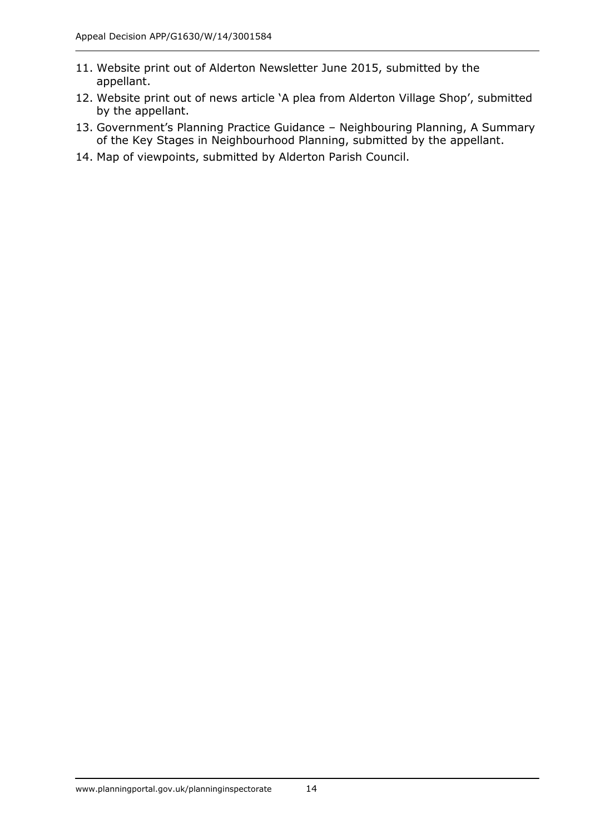- 11. Website print out of Alderton Newsletter June 2015, submitted by the appellant.
- 12. Website print out of news article 'A plea from Alderton Village Shop', submitted by the appellant.
- 13. Government's Planning Practice Guidance Neighbouring Planning, A Summary of the Key Stages in Neighbourhood Planning, submitted by the appellant.
- 14. Map of viewpoints, submitted by Alderton Parish Council.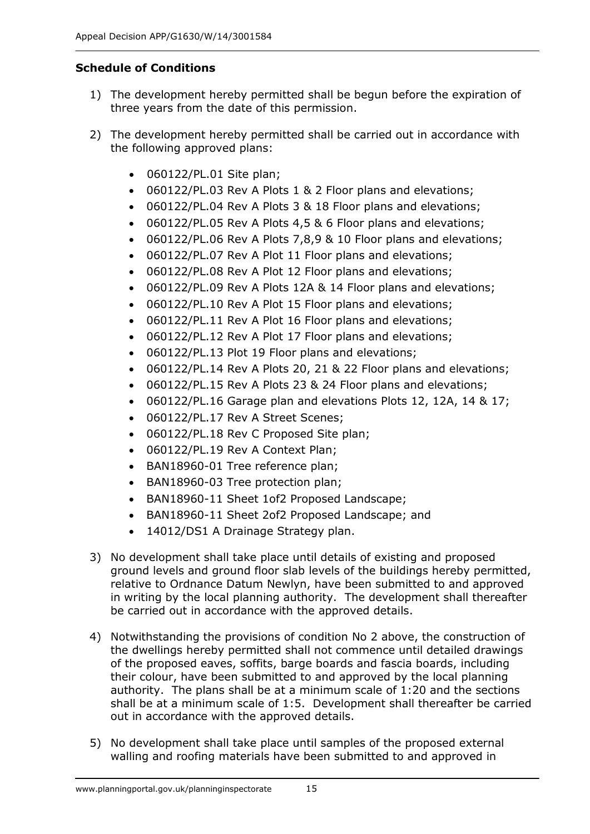## **Schedule of Conditions**

- 1) The development hereby permitted shall be begun before the expiration of three years from the date of this permission.
- 2) The development hereby permitted shall be carried out in accordance with the following approved plans:
	- 060122/PL.01 Site plan;
	- 060122/PL.03 Rev A Plots 1 & 2 Floor plans and elevations;
	- 060122/PL.04 Rev A Plots 3 & 18 Floor plans and elevations;
	- 060122/PL.05 Rev A Plots 4,5 & 6 Floor plans and elevations;
	- 060122/PL.06 Rev A Plots 7,8,9 & 10 Floor plans and elevations;
	- 060122/PL.07 Rev A Plot 11 Floor plans and elevations;
	- 060122/PL.08 Rev A Plot 12 Floor plans and elevations;
	- 060122/PL.09 Rev A Plots 12A & 14 Floor plans and elevations;
	- 060122/PL.10 Rev A Plot 15 Floor plans and elevations;
	- 060122/PL.11 Rev A Plot 16 Floor plans and elevations;
	- 060122/PL.12 Rev A Plot 17 Floor plans and elevations;
	- 060122/PL.13 Plot 19 Floor plans and elevations;
	- 060122/PL.14 Rev A Plots 20, 21 & 22 Floor plans and elevations;
	- 060122/PL.15 Rev A Plots 23 & 24 Floor plans and elevations;
	- 060122/PL.16 Garage plan and elevations Plots 12, 12A, 14 & 17;
	- 060122/PL.17 Rev A Street Scenes;
	- 060122/PL.18 Rev C Proposed Site plan;
	- 060122/PL.19 Rev A Context Plan;
	- BAN18960-01 Tree reference plan;
	- BAN18960-03 Tree protection plan;
	- BAN18960-11 Sheet 1of2 Proposed Landscape;
	- BAN18960-11 Sheet 2of2 Proposed Landscape; and
	- 14012/DS1 A Drainage Strategy plan.
- 3) No development shall take place until details of existing and proposed ground levels and ground floor slab levels of the buildings hereby permitted, relative to Ordnance Datum Newlyn, have been submitted to and approved in writing by the local planning authority. The development shall thereafter be carried out in accordance with the approved details.
- 4) Notwithstanding the provisions of condition No 2 above, the construction of the dwellings hereby permitted shall not commence until detailed drawings of the proposed eaves, soffits, barge boards and fascia boards, including their colour, have been submitted to and approved by the local planning authority. The plans shall be at a minimum scale of 1:20 and the sections shall be at a minimum scale of 1:5. Development shall thereafter be carried out in accordance with the approved details.
- 5) No development shall take place until samples of the proposed external walling and roofing materials have been submitted to and approved in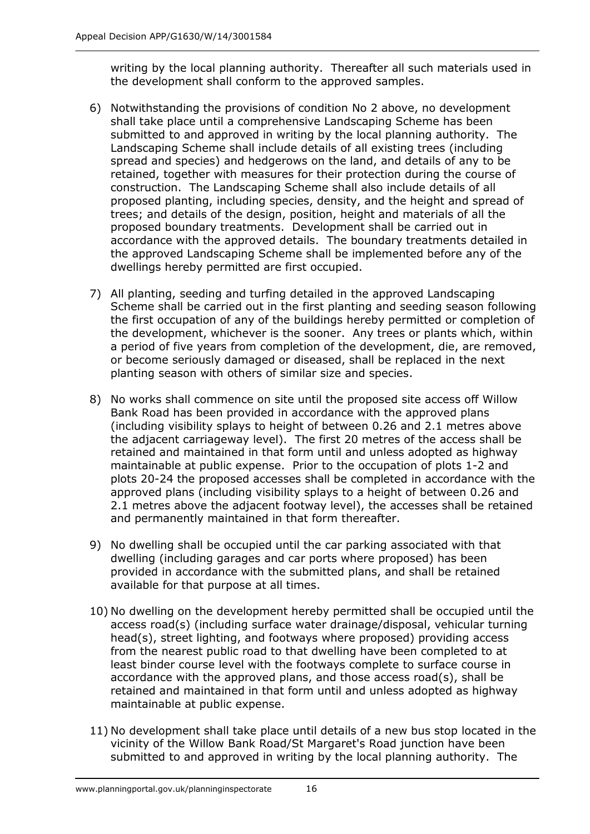writing by the local planning authority. Thereafter all such materials used in the development shall conform to the approved samples.

- 6) Notwithstanding the provisions of condition No 2 above, no development shall take place until a comprehensive Landscaping Scheme has been submitted to and approved in writing by the local planning authority. The Landscaping Scheme shall include details of all existing trees (including spread and species) and hedgerows on the land, and details of any to be retained, together with measures for their protection during the course of construction. The Landscaping Scheme shall also include details of all proposed planting, including species, density, and the height and spread of trees; and details of the design, position, height and materials of all the proposed boundary treatments. Development shall be carried out in accordance with the approved details. The boundary treatments detailed in the approved Landscaping Scheme shall be implemented before any of the dwellings hereby permitted are first occupied.
- 7) All planting, seeding and turfing detailed in the approved Landscaping Scheme shall be carried out in the first planting and seeding season following the first occupation of any of the buildings hereby permitted or completion of the development, whichever is the sooner. Any trees or plants which, within a period of five years from completion of the development, die, are removed, or become seriously damaged or diseased, shall be replaced in the next planting season with others of similar size and species.
- 8) No works shall commence on site until the proposed site access off Willow Bank Road has been provided in accordance with the approved plans (including visibility splays to height of between 0.26 and 2.1 metres above the adjacent carriageway level). The first 20 metres of the access shall be retained and maintained in that form until and unless adopted as highway maintainable at public expense. Prior to the occupation of plots 1-2 and plots 20-24 the proposed accesses shall be completed in accordance with the approved plans (including visibility splays to a height of between 0.26 and 2.1 metres above the adjacent footway level), the accesses shall be retained and permanently maintained in that form thereafter.
- 9) No dwelling shall be occupied until the car parking associated with that dwelling (including garages and car ports where proposed) has been provided in accordance with the submitted plans, and shall be retained available for that purpose at all times.
- 10) No dwelling on the development hereby permitted shall be occupied until the access road(s) (including surface water drainage/disposal, vehicular turning head(s), street lighting, and footways where proposed) providing access from the nearest public road to that dwelling have been completed to at least binder course level with the footways complete to surface course in accordance with the approved plans, and those access road(s), shall be retained and maintained in that form until and unless adopted as highway maintainable at public expense.
- 11) No development shall take place until details of a new bus stop located in the vicinity of the Willow Bank Road/St Margaret's Road junction have been submitted to and approved in writing by the local planning authority. The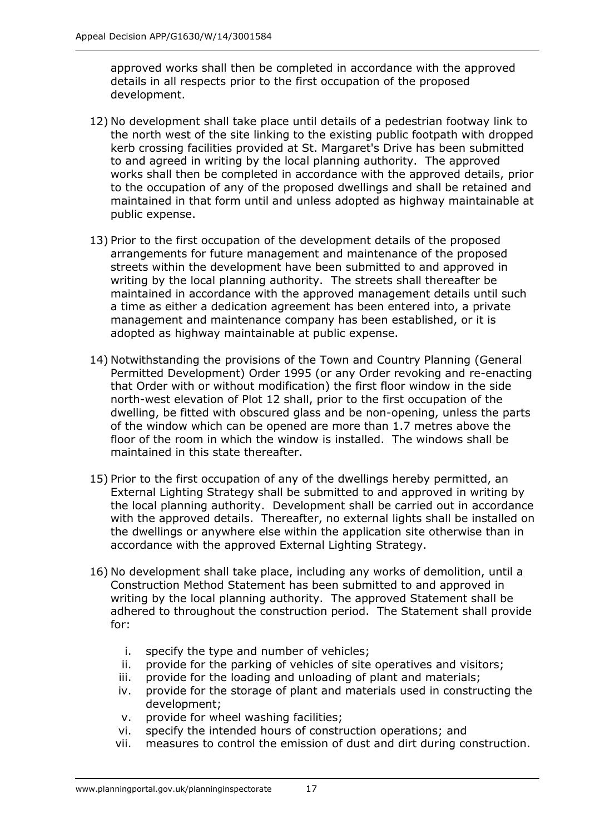approved works shall then be completed in accordance with the approved details in all respects prior to the first occupation of the proposed development.

- 12) No development shall take place until details of a pedestrian footway link to the north west of the site linking to the existing public footpath with dropped kerb crossing facilities provided at St. Margaret's Drive has been submitted to and agreed in writing by the local planning authority. The approved works shall then be completed in accordance with the approved details, prior to the occupation of any of the proposed dwellings and shall be retained and maintained in that form until and unless adopted as highway maintainable at public expense.
- 13) Prior to the first occupation of the development details of the proposed arrangements for future management and maintenance of the proposed streets within the development have been submitted to and approved in writing by the local planning authority. The streets shall thereafter be maintained in accordance with the approved management details until such a time as either a dedication agreement has been entered into, a private management and maintenance company has been established, or it is adopted as highway maintainable at public expense.
- 14) Notwithstanding the provisions of the Town and Country Planning (General Permitted Development) Order 1995 (or any Order revoking and re-enacting that Order with or without modification) the first floor window in the side north-west elevation of Plot 12 shall, prior to the first occupation of the dwelling, be fitted with obscured glass and be non-opening, unless the parts of the window which can be opened are more than 1.7 metres above the floor of the room in which the window is installed. The windows shall be maintained in this state thereafter.
- 15) Prior to the first occupation of any of the dwellings hereby permitted, an External Lighting Strategy shall be submitted to and approved in writing by the local planning authority. Development shall be carried out in accordance with the approved details. Thereafter, no external lights shall be installed on the dwellings or anywhere else within the application site otherwise than in accordance with the approved External Lighting Strategy.
- 16) No development shall take place, including any works of demolition, until a Construction Method Statement has been submitted to and approved in writing by the local planning authority. The approved Statement shall be adhered to throughout the construction period. The Statement shall provide for:
	- i. specify the type and number of vehicles;
	- ii. provide for the parking of vehicles of site operatives and visitors;
	- iii. provide for the loading and unloading of plant and materials;
	- iv. provide for the storage of plant and materials used in constructing the development;
	- v. provide for wheel washing facilities;
	- vi. specify the intended hours of construction operations; and
	- vii. measures to control the emission of dust and dirt during construction.